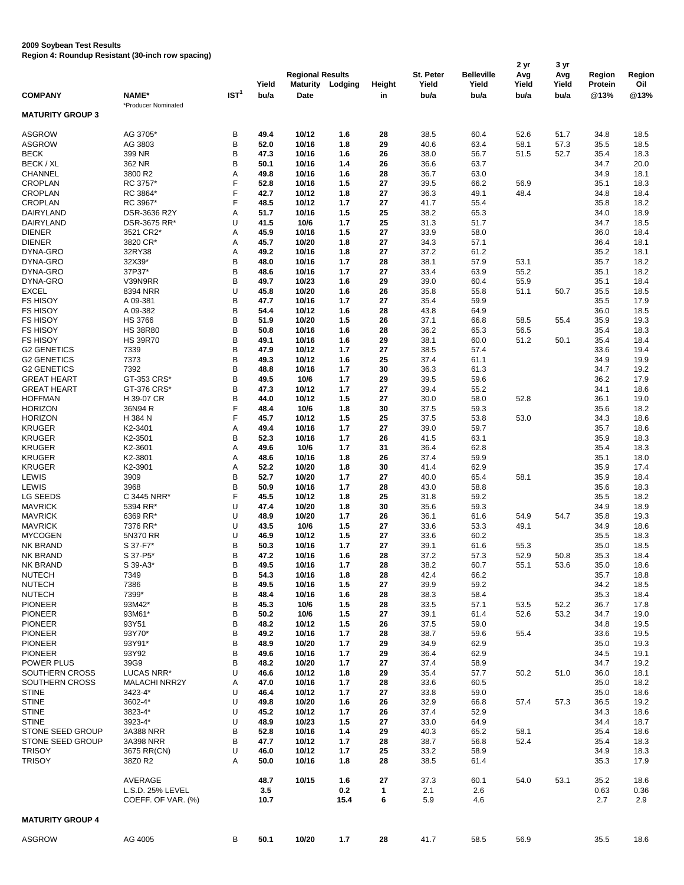## **2009 Soybean Test Results**

**Region 4: Roundup Resistant (30-inch row spacing)**

|                                          |                            |                  |               | <b>Regional Results</b>        |              |                     | St. Peter     | <b>Belleville</b> | 2 yr<br>Avg   | 3 yr<br>Avg   | <b>Region</b>          | Region       |
|------------------------------------------|----------------------------|------------------|---------------|--------------------------------|--------------|---------------------|---------------|-------------------|---------------|---------------|------------------------|--------------|
| <b>COMPANY</b>                           | NAME*                      | IST <sup>1</sup> | Yield<br>bu/a | <b>Maturity</b><br><b>Date</b> | Lodging      | <b>Height</b><br>in | Yield<br>bu/a | Yield<br>bu/a     | Yield<br>bu/a | Yield<br>bu/a | <b>Protein</b><br>@13% | Oil<br>@13%  |
| <b>MATURITY GROUP 3</b>                  | *Producer Nominated        |                  |               |                                |              |                     |               |                   |               |               |                        |              |
|                                          |                            |                  |               |                                |              |                     |               |                   |               |               |                        |              |
| <b>ASGROW</b><br><b>ASGROW</b>           | AG 3705*<br>AG 3803        | B<br>$\sf B$     | 49.4<br>52.0  | 10/12<br>10/16                 | 1.6<br>1.8   | 28<br>29            | 38.5<br>40.6  | 60.4<br>63.4      | 52.6<br>58.1  | 51.7<br>57.3  | 34.8<br>35.5           | 18.5<br>18.5 |
| <b>BECK</b>                              | 399 NR                     | B                | 47.3          | 10/16                          | 1.6          | 26                  | 38.0          | 56.7              | 51.5          | 52.7          | 35.4                   | 18.3         |
| BECK / XL                                | 362 NR                     | B                | 50.1          | 10/16                          | 1.4          | 26                  | 36.6          | 63.7              |               |               | 34.7                   | 20.0         |
| <b>CHANNEL</b>                           | 3800 R2                    | Α                | 49.8          | 10/16                          | 1.6          | 28                  | 36.7          | 63.0              |               |               | 34.9                   | 18.1         |
| <b>CROPLAN</b>                           | RC 3757*                   | F<br>F           | 52.8          | 10/16                          | 1.5          | 27                  | 39.5          | 66.2              | 56.9          |               | 35.1                   | 18.3         |
| <b>CROPLAN</b><br><b>CROPLAN</b>         | RC 3864*<br>RC 3967*       | F                | 42.7<br>48.5  | 10/12<br>10/12                 | 1.8<br>$1.7$ | 27<br>27            | 36.3<br>41.7  | 49.1<br>55.4      | 48.4          |               | 34.8<br>35.8           | 18.4<br>18.2 |
| <b>DAIRYLAND</b>                         | DSR-3636 R2Y               | Α                | 51.7          | 10/16                          | 1.5          | 25                  | 38.2          | 65.3              |               |               | 34.0                   | 18.9         |
| <b>DAIRYLAND</b>                         | DSR-3675 RR*               | U                | 41.5          | 10/6                           | $1.7$        | 25                  | 31.3          | 51.7              |               |               | 34.7                   | 18.5         |
| <b>DIENER</b>                            | 3521 CR2*                  | A                | 45.9          | 10/16                          | 1.5          | 27                  | 33.9          | 58.0              |               |               | 36.0                   | 18.4         |
| <b>DIENER</b>                            | 3820 CR*                   | A                | 45.7          | 10/20                          | 1.8          | 27                  | 34.3          | 57.1              |               |               | 36.4                   | 18.1         |
| DYNA-GRO<br>DYNA-GRO                     | 32RY38<br>32X39*           | A<br>B           | 49.2<br>48.0  | 10/16<br>10/16                 | 1.8<br>1.7   | 27<br>28            | 37.2<br>38.1  | 61.2<br>57.9      | 53.1          |               | 35.2<br>35.7           | 18.1<br>18.2 |
| DYNA-GRO                                 | 37P37*                     | B                | 48.6          | 10/16                          | $1.7$        | 27                  | 33.4          | 63.9              | 55.2          |               | 35.1                   | 18.2         |
| DYNA-GRO                                 | V39N9RR                    | B                | 49.7          | 10/23                          | 1.6          | 29                  | 39.0          | 60.4              | 55.9          |               | 35.1                   | 18.4         |
| <b>EXCEL</b>                             | 8394 NRR                   | U                | 45.8          | 10/20                          | 1.6          | 26                  | 35.8          | 55.8              | 51.1          | 50.7          | 35.5                   | 18.5         |
| <b>FS HISOY</b>                          | A 09-381                   | B                | 47.7          | 10/16                          | 1.7          | 27                  | 35.4          | 59.9              |               |               | 35.5                   | 17.9         |
| <b>FS HISOY</b><br><b>FS HISOY</b>       | A 09-382<br><b>HS 3766</b> | B<br>B           | 54.4<br>51.9  | 10/12<br>10/20                 | 1.6<br>1.5   | 28<br>26            | 43.8<br>37.1  | 64.9<br>66.8      | 58.5          | 55.4          | 36.0<br>35.9           | 18.5<br>19.3 |
| <b>FS HISOY</b>                          | <b>HS 38R80</b>            | B                | 50.8          | 10/16                          | 1.6          | 28                  | 36.2          | 65.3              | 56.5          |               | 35.4                   | 18.3         |
| <b>FS HISOY</b>                          | <b>HS 39R70</b>            | B                | 49.1          | 10/16                          | 1.6          | 29                  | 38.1          | 60.0              | 51.2          | 50.1          | 35.4                   | 18.4         |
| <b>G2 GENETICS</b>                       | 7339                       | B                | 47.9          | 10/12                          | 1.7          | 27                  | 38.5          | 57.4              |               |               | 33.6                   | 19.4         |
| <b>G2 GENETICS</b>                       | 7373                       | B                | 49.3          | 10/12                          | 1.6          | 25                  | 37.4          | 61.1              |               |               | 34.9                   | 19.9         |
| <b>G2 GENETICS</b><br><b>GREAT HEART</b> | 7392<br>GT-353 CRS*        | B<br>B           | 48.8          | 10/16<br>10/6                  | 1.7<br>$1.7$ | 30                  | 36.3          | 61.3              |               |               | 34.7                   | 19.2         |
| <b>GREAT HEART</b>                       | GT-376 CRS*                | B                | 49.5<br>47.3  | 10/12                          | $1.7$        | 29<br>27            | 39.5<br>39.4  | 59.6<br>55.2      |               |               | 36.2<br>34.1           | 17.9<br>18.6 |
| <b>HOFFMAN</b>                           | H 39-07 CR                 | B                | 44.0          | 10/12                          | 1.5          | 27                  | 30.0          | 58.0              | 52.8          |               | 36.1                   | 19.0         |
| <b>HORIZON</b>                           | 36N94 R                    | $\mathsf F$      | 48.4          | 10/6                           | 1.8          | 30                  | 37.5          | 59.3              |               |               | 35.6                   | 18.2         |
| <b>HORIZON</b>                           | H 384 N                    | F                | 45.7          | 10/12                          | 1.5          | 25                  | 37.5          | 53.8              | 53.0          |               | 34.3                   | 18.6         |
| <b>KRUGER</b>                            | K2-3401                    | Α                | 49.4          | 10/16                          | 1.7          | 27                  | 39.0          | 59.7              |               |               | 35.7                   | 18.6         |
| <b>KRUGER</b><br><b>KRUGER</b>           | K2-3501<br>K2-3601         | B<br>Α           | 52.3<br>49.6  | 10/16<br>10/6                  | 1.7<br>1.7   | 26<br>31            | 41.5<br>36.4  | 63.1<br>62.8      |               |               | 35.9<br>35.4           | 18.3<br>18.3 |
| <b>KRUGER</b>                            | K2-3801                    | Α                | 48.6          | 10/16                          | 1.8          | 26                  | 37.4          | 59.9              |               |               | 35.1                   | 18.0         |
| <b>KRUGER</b>                            | K2-3901                    | Α                | 52.2          | 10/20                          | 1.8          | 30                  | 41.4          | 62.9              |               |               | 35.9                   | 17.4         |
| <b>LEWIS</b>                             | 3909                       | B                | 52.7          | 10/20                          | 1.7          | 27                  | 40.0          | 65.4              | 58.1          |               | 35.9                   | 18.4         |
| <b>LEWIS</b>                             | 3968                       | B                | 50.9          | 10/16                          | 1.7          | 28                  | 43.0          | 58.8              |               |               | 35.6                   | 18.3         |
| LG SEEDS<br><b>MAVRICK</b>               | C 3445 NRR*<br>5394 RR*    | F<br>U           | 45.5<br>47.4  | 10/12<br>10/20                 | 1.8<br>1.8   | 25<br>30            | 31.8<br>35.6  | 59.2<br>59.3      |               |               | 35.5<br>34.9           | 18.2<br>18.9 |
| <b>MAVRICK</b>                           | 6369 RR*                   | U                | 48.9          | 10/20                          | 1.7          | 26                  | 36.1          | 61.6              | 54.9          | 54.7          | 35.8                   | 19.3         |
| <b>MAVRICK</b>                           | 7376 RR*                   | U                | 43.5          | 10/6                           | 1.5          | 27                  | 33.6          | 53.3              | 49.1          |               | 34.9                   | 18.6         |
| <b>MYCOGEN</b>                           | 5N370 RR                   | U                | 46.9          | 10/12                          | 1.5          | 27                  | 33.6          | 60.2              |               |               | 35.5                   | 18.3         |
| NK BRAND                                 | S 37-F7*                   | Β                | 50.3          | 10/16                          | $1.7$        | 27                  | 39.1          | 61.6              | 55.3          |               | 35.0                   | 18.5         |
| NK BRAND                                 | S 37-P5*                   | B                | 47.2          | 10/16                          | 1.6          | 28                  | 37.2          | 57.3              | 52.9          | 50.8          | 35.3                   | 18.4         |
| NK BRAND<br><b>NUTECH</b>                | S 39-A3*<br>7349           | B<br>B           | 49.5<br>54.3  | 10/16<br>10/16                 | $1.7$<br>1.8 | 28<br>28            | 38.2<br>42.4  | 60.7<br>66.2      | 55.1          | 53.6          | 35.0<br>35.7           | 18.6<br>18.8 |
| <b>NUTECH</b>                            | 7386                       | B                | 49.5          | 10/16                          | 1.5          | 27                  | 39.9          | 59.2              |               |               | 34.2                   | 18.5         |
| <b>NUTECH</b>                            | 7399*                      | B                | 48.4          | 10/16                          | 1.6          | 28                  | 38.3          | 58.4              |               |               | 35.3                   | 18.4         |
| <b>PIONEER</b>                           | 93M42*                     | B                | 45.3          | 10/6                           | 1.5          | 28                  | 33.5          | 57.1              | 53.5          | 52.2          | 36.7                   | 17.8         |
| <b>PIONEER</b>                           | 93M61*                     | B                | 50.2          | 10/6                           | 1.5          | 27                  | 39.1          | 61.4              | 52.6          | 53.2          | 34.7                   | 19.0         |
| <b>PIONEER</b><br><b>PIONEER</b>         | 93Y51<br>93Y70*            | B<br>B           | 48.2<br>49.2  | 10/12                          | 1.5<br>1.7   | 26                  | 37.5          | 59.0              |               |               | 34.8                   | 19.5         |
| <b>PIONEER</b>                           | 93Y91*                     | B                | 48.9          | 10/16<br>10/20                 | 1.7          | 28<br>29            | 38.7<br>34.9  | 59.6<br>62.9      | 55.4          |               | 33.6<br>35.0           | 19.5<br>19.3 |
| <b>PIONEER</b>                           | 93Y92                      | $\sf B$          | 49.6          | 10/16                          | 1.7          | 29                  | 36.4          | 62.9              |               |               | 34.5                   | 19.1         |
| <b>POWER PLUS</b>                        | 39G9                       | B                | 48.2          | 10/20                          | 1.7          | 27                  | 37.4          | 58.9              |               |               | 34.7                   | 19.2         |
| SOUTHERN CROSS                           | LUCAS NRR*                 | U                | 46.6          | 10/12                          | 1.8          | 29                  | 35.4          | 57.7              | 50.2          | 51.0          | 36.0                   | 18.1         |
| SOUTHERN CROSS                           | <b>MALACHI NRR2Y</b>       | A                | 47.0          | 10/16                          | 1.7          | 28                  | 33.6          | 60.5              |               |               | 35.0                   | 18.2         |
| <b>STINE</b><br><b>STINE</b>             | 3423-4*<br>3602-4*         | U<br>U           | 46.4<br>49.8  | 10/12<br>10/20                 | 1.7<br>1.6   | 27<br>26            | 33.8<br>32.9  | 59.0<br>66.8      | 57.4          | 57.3          | 35.0<br>36.5           | 18.6<br>19.2 |
| <b>STINE</b>                             | 3823-4*                    | U                | 45.2          | 10/12                          | 1.7          | 26                  | 37.4          | 52.9              |               |               | 34.3                   | 18.6         |
| <b>STINE</b>                             | 3923-4*                    | U                | 48.9          | 10/23                          | 1.5          | 27                  | 33.0          | 64.9              |               |               | 34.4                   | 18.7         |
| STONE SEED GROUP                         | 3A388 NRR                  | B                | 52.8          | 10/16                          | 1.4          | 29                  | 40.3          | 65.2              | 58.1          |               | 35.4                   | 18.6         |
| STONE SEED GROUP                         | 3A398 NRR                  | B                | 47.7          | 10/12                          | 1.7          | 28                  | 38.7          | 56.8              | 52.4          |               | 35.4                   | 18.3         |
| <b>TRISOY</b>                            | 3675 RR(CN)                | U                | 46.0          | 10/12                          | $1.7$        | 25                  | 33.2          | 58.9              |               |               | 34.9                   | 18.3         |
| <b>TRISOY</b>                            | 38Z0 R2                    | A                | 50.0          | 10/16                          | 1.8          | 28                  | 38.5          | 61.4              |               |               | 35.3                   | 17.9         |
|                                          | AVERAGE                    |                  | 48.7          | 10/15                          | 1.6          | 27                  | 37.3          | 60.1              | 54.0          | 53.1          | 35.2                   | 18.6         |
|                                          | L.S.D. 25% LEVEL           |                  | 3.5           |                                | 0.2          | $\mathbf 1$         | 2.1           | 2.6               |               |               | 0.63                   | 0.36         |
|                                          | COEFF. OF VAR. (%)         |                  | 10.7          |                                | 15.4         | $6\phantom{1}$      | 5.9           | 4.6               |               |               | 2.7                    | 2.9          |
| <b>MATURITY GROUP 4</b>                  |                            |                  |               |                                |              |                     |               |                   |               |               |                        |              |
| <b>ASGROW</b>                            | AG 4005                    | B                | 50.1          | 10/20                          | $1.7$        | 28                  | 41.7          | 58.5              | 56.9          |               | 35.5                   | 18.6         |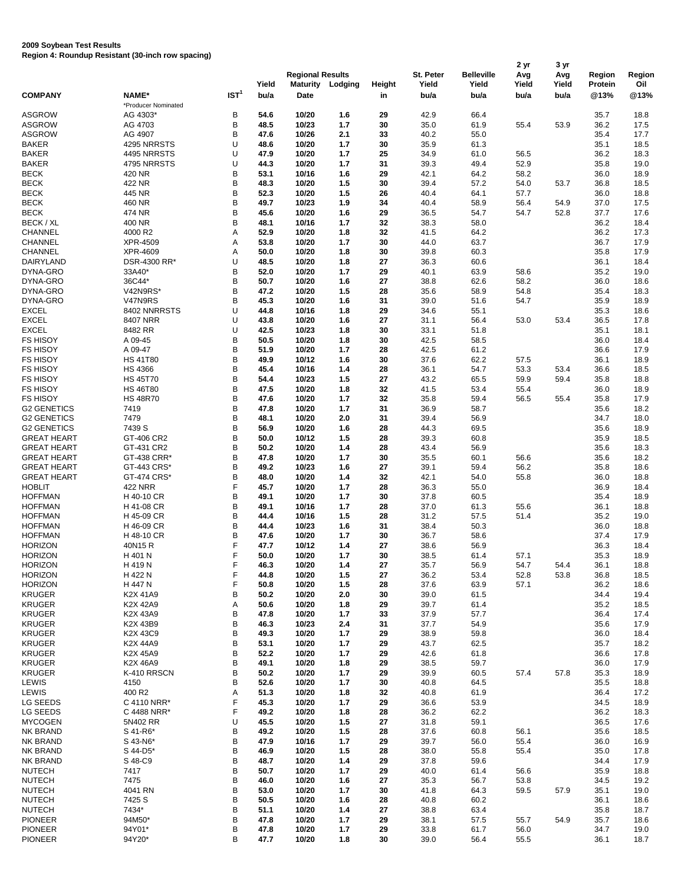## **2009 Soybean Test Results**

**Region 4: Roundup Resistant (30-inch row spacing)**

|                                          |                                    |                  | Yield        | <b>Regional Results</b><br><b>Maturity</b> | Lodging        | <b>Height</b> | St. Peter<br>Yield | <b>Belleville</b><br>Yield | 2 yr<br>Avg<br>Yield | 3 yr<br>Avg<br>Yield | <b>Region</b><br><b>Protein</b> | Region<br>Oil |
|------------------------------------------|------------------------------------|------------------|--------------|--------------------------------------------|----------------|---------------|--------------------|----------------------------|----------------------|----------------------|---------------------------------|---------------|
| <b>COMPANY</b>                           | <b>NAME*</b>                       | IST <sup>1</sup> | bu/a         | <b>Date</b>                                |                | in            | bu/a               | bu/a                       | bu/a                 | bu/a                 | @13%                            | @13%          |
| <b>ASGROW</b>                            | *Producer Nominated<br>AG 4303*    | Β                | 54.6         | 10/20                                      | 1.6            | 29            | 42.9               | 66.4                       |                      |                      | 35.7                            | 18.8          |
| <b>ASGROW</b>                            | AG 4703                            | B                | 48.5         | 10/23                                      | $1.7$          | 30            | 35.0               | 61.9                       | 55.4                 | 53.9                 | 36.2                            | 17.5          |
| <b>ASGROW</b>                            | AG 4907                            | B                | 47.6         | 10/26                                      | 2.1            | 33            | 40.2               | 55.0                       |                      |                      | 35.4                            | 17.7          |
| <b>BAKER</b>                             | 4295 NRRSTS                        | U                | 48.6         | 10/20                                      | $1.7$          | 30            | 35.9               | 61.3                       |                      |                      | 35.1                            | 18.5          |
| <b>BAKER</b>                             | 4495 NRRSTS                        | U                | 47.9         | 10/20                                      | $1.7$          | 25            | 34.9               | 61.0                       | 56.5                 |                      | 36.2                            | 18.3          |
| <b>BAKER</b><br><b>BECK</b>              | 4795 NRRSTS<br>420 NR              | U<br>Β           | 44.3<br>53.1 | 10/20<br>10/16                             | $1.7$<br>1.6   | 31<br>29      | 39.3<br>42.1       | 49.4<br>64.2               | 52.9<br>58.2         |                      | 35.8<br>36.0                    | 19.0<br>18.9  |
| <b>BECK</b>                              | 422 NR                             | B                | 48.3         | 10/20                                      | 1.5            | 30            | 39.4               | 57.2                       | 54.0                 | 53.7                 | 36.8                            | 18.5          |
| <b>BECK</b>                              | 445 NR                             | B                | 52.3         | 10/20                                      | 1.5            | 26            | 40.4               | 64.1                       | 57.7                 |                      | 36.0                            | 18.8          |
| <b>BECK</b>                              | 460 NR                             | B                | 49.7         | 10/23                                      | 1.9            | 34            | 40.4               | 58.9                       | 56.4                 | 54.9                 | 37.0                            | 17.5          |
| <b>BECK</b>                              | 474 NR                             | B                | 45.6         | 10/20                                      | 1.6            | 29            | 36.5               | 54.7                       | 54.7                 | 52.8                 | 37.7                            | 17.6          |
| BECK / XL                                | 400 NR                             | B                | 48.1         | 10/16                                      | $1.7$          | 32            | 38.3               | 58.0                       |                      |                      | 36.2                            | 18.4          |
| <b>CHANNEL</b><br><b>CHANNEL</b>         | 4000 R2<br>XPR-4509                | Α<br>Α           | 52.9<br>53.8 | 10/20<br>10/20                             | 1.8<br>$1.7$   | 32<br>30      | 41.5<br>44.0       | 64.2<br>63.7               |                      |                      | 36.2<br>36.7                    | 17.3<br>17.9  |
| <b>CHANNEL</b>                           | XPR-4609                           | Α                | 50.0         | 10/20                                      | 1.8            | 30            | 39.8               | 60.3                       |                      |                      | 35.8                            | 17.9          |
| <b>DAIRYLAND</b>                         | DSR-4300 RR*                       | U                | 48.5         | 10/20                                      | 1.8            | 27            | 36.3               | 60.6                       |                      |                      | 36.1                            | 18.4          |
| DYNA-GRO                                 | 33A40*                             | Β                | 52.0         | 10/20                                      | $1.7$          | 29            | 40.1               | 63.9                       | 58.6                 |                      | 35.2                            | 19.0          |
| DYNA-GRO                                 | 36C44*                             | B                | 50.7         | 10/20                                      | 1.6            | 27            | 38.8               | 62.6                       | 58.2                 |                      | 36.0                            | 18.6          |
| DYNA-GRO                                 | V42N9RS*                           | B                | 47.2         | 10/20                                      | 1.5            | 28            | 35.6               | 58.9                       | 54.8                 |                      | 35.4                            | 18.3          |
| DYNA-GRO                                 | V47N9RS                            | B                | 45.3         | 10/20                                      | 1.6            | 31            | 39.0               | 51.6                       | 54.7                 |                      | 35.9                            | 18.9          |
| <b>EXCEL</b><br><b>EXCEL</b>             | 8402 NNRRSTS<br>8407 NRR           | U<br>U           | 44.8<br>43.8 | 10/16<br>10/20                             | 1.8<br>1.6     | 29<br>27      | 34.6<br>31.1       | 55.1<br>56.4               | 53.0                 | 53.4                 | 35.3<br>36.5                    | 18.6<br>17.8  |
| <b>EXCEL</b>                             | 8482 RR                            | U                | 42.5         | 10/23                                      | 1.8            | 30            | 33.1               | 51.8                       |                      |                      | 35.1                            | 18.1          |
| <b>FS HISOY</b>                          | A 09-45                            | В                | 50.5         | 10/20                                      | 1.8            | 30            | 42.5               | 58.5                       |                      |                      | 36.0                            | 18.4          |
| <b>FS HISOY</b>                          | A 09-47                            | B                | 51.9         | 10/20                                      | $1.7$          | 28            | 42.5               | 61.2                       |                      |                      | 36.6                            | 17.9          |
| <b>FS HISOY</b>                          | <b>HS 41T80</b>                    | B                | 49.9         | 10/12                                      | 1.6            | 30            | 37.6               | 62.2                       | 57.5                 |                      | 36.1                            | 18.9          |
| <b>FS HISOY</b>                          | <b>HS 4366</b>                     | B                | 45.4         | 10/16                                      | 1.4            | 28            | 36.1               | 54.7                       | 53.3                 | 53.4                 | 36.6                            | 18.5          |
| <b>FS HISOY</b>                          | <b>HS 45T70</b>                    | B                | 54.4         | 10/23                                      | 1.5            | 27            | 43.2               | 65.5                       | 59.9                 | 59.4                 | 35.8                            | 18.8          |
| <b>FS HISOY</b><br><b>FS HISOY</b>       | <b>HS 46T80</b><br><b>HS 48R70</b> | B<br>B           | 47.5<br>47.6 | 10/20<br>10/20                             | 1.8<br>$1.7$   | 32<br>32      | 41.5<br>35.8       | 53.4<br>59.4               | 55.4<br>56.5         | 55.4                 | 36.0<br>35.8                    | 18.9<br>17.9  |
| <b>G2 GENETICS</b>                       | 7419                               | B                | 47.8         | 10/20                                      | 1.7            | 31            | 36.9               | 58.7                       |                      |                      | 35.6                            | 18.2          |
| <b>G2 GENETICS</b>                       | 7479                               | Β                | 48.1         | 10/20                                      | 2.0            | 31            | 39.4               | 56.9                       |                      |                      | 34.7                            | 18.0          |
| <b>G2 GENETICS</b>                       | 7439 S                             | B                | 56.9         | 10/20                                      | 1.6            | 28            | 44.3               | 69.5                       |                      |                      | 35.6                            | 18.9          |
| <b>GREAT HEART</b>                       | GT-406 CR2                         | B                | 50.0         | 10/12                                      | 1.5            | 28            | 39.3               | 60.8                       |                      |                      | 35.9                            | 18.5          |
| <b>GREAT HEART</b>                       | GT-431 CR2                         | Β                | 50.2         | 10/20                                      | $1.4$          | 28            | 43.4               | 56.9                       |                      |                      | 35.6                            | 18.3          |
| <b>GREAT HEART</b>                       | GT-438 CRR*                        | B                | 47.8         | 10/20                                      | $1.7$          | 30            | 35.5               | 60.1                       | 56.6                 |                      | 35.6                            | 18.2          |
| <b>GREAT HEART</b><br><b>GREAT HEART</b> | GT-443 CRS*<br>GT-474 CRS*         | B<br>B           | 49.2<br>48.0 | 10/23<br>10/20                             | 1.6<br>$1.4$   | 27<br>32      | 39.1<br>42.1       | 59.4<br>54.0               | 56.2<br>55.8         |                      | 35.8<br>36.0                    | 18.6<br>18.8  |
| <b>HOBLIT</b>                            | <b>422 NRR</b>                     | F                | 45.7         | 10/20                                      | $1.7$          | 28            | 36.3               | 55.0                       |                      |                      | 36.9                            | 18.4          |
| <b>HOFFMAN</b>                           | H 40-10 CR                         | B                | 49.1         | 10/20                                      | $1.7$          | 30            | 37.8               | 60.5                       |                      |                      | 35.4                            | 18.9          |
| <b>HOFFMAN</b>                           | H 41-08 CR                         | В                | 49.1         | 10/16                                      | $1.7$          | 28            | 37.0               | 61.3                       | 55.6                 |                      | 36.1                            | 18.8          |
| <b>HOFFMAN</b>                           | H 45-09 CR                         | B                | 44.4         | 10/16                                      | 1.5            | 28            | 31.2               | 57.5                       | 51.4                 |                      | 35.2                            | 19.0          |
| <b>HOFFMAN</b>                           | H 46-09 CR                         | В                | 44.4         | 10/23                                      | 1.6            | 31            | 38.4               | 50.3                       |                      |                      | 36.0                            | 18.8          |
| <b>HOFFMAN</b><br><b>HORIZON</b>         | H 48-10 CR<br>40N15R               | В<br>F           | 47.6<br>47.7 | 10/20<br>10/12                             | $1.7$<br>$1.4$ | 30<br>27      | 36.7<br>38.6       | 58.6<br>56.9               |                      |                      | 37.4<br>36.3                    | 17.9<br>18.4  |
| <b>HORIZON</b>                           | H 401 N                            |                  | 50.0         | 10/20                                      | $1.7$          | 30            | 38.5               | 61.4                       | 57.1                 |                      | 35.3                            | 18.9          |
| <b>HORIZON</b>                           | H 419 N                            |                  | 46.3         | 10/20                                      | $1.4$          | 27            | 35.7               | 56.9                       | 54.7                 | 54.4                 | 36.1                            | 18.8          |
| <b>HORIZON</b>                           | H 422 N                            | F                | 44.8         | 10/20                                      | 1.5            | 27            | 36.2               | 53.4                       | 52.8                 | 53.8                 | 36.8                            | 18.5          |
| <b>HORIZON</b>                           | H 447 N                            |                  | 50.8         | 10/20                                      | 1.5            | 28            | 37.6               | 63.9                       | 57.1                 |                      | 36.2                            | 18.6          |
| <b>KRUGER</b>                            | K2X 41A9                           | B                | 50.2         | 10/20                                      | 2.0            | 30            | 39.0               | 61.5                       |                      |                      | 34.4                            | 19.4          |
| <b>KRUGER</b>                            | K2X 42A9                           | Α                | 50.6         | 10/20                                      | 1.8            | 29            | 39.7               | 61.4                       |                      |                      | 35.2                            | 18.5          |
| <b>KRUGER</b><br><b>KRUGER</b>           | K2X 43A9<br>K2X 43B9               | B<br>В           | 47.8<br>46.3 | 10/20<br>10/23                             | $1.7$<br>2.4   | 33<br>31      | 37.9<br>37.7       | 57.7<br>54.9               |                      |                      | 36.4<br>35.6                    | 17.4<br>17.9  |
| <b>KRUGER</b>                            | K2X 43C9                           | B                | 49.3         | 10/20                                      | $1.7$          | 29            | 38.9               | 59.8                       |                      |                      | 36.0                            | 18.4          |
| <b>KRUGER</b>                            | K2X 44A9                           | B                | 53.1         | 10/20                                      | $1.7$          | 29            | 43.7               | 62.5                       |                      |                      | 35.7                            | 18.2          |
| <b>KRUGER</b>                            | K2X 45A9                           | B                | 52.2         | 10/20                                      | $1.7$          | 29            | 42.6               | 61.8                       |                      |                      | 36.6                            | 17.8          |
| <b>KRUGER</b>                            | K2X 46A9                           | Β                | 49.1         | 10/20                                      | 1.8            | 29            | 38.5               | 59.7                       |                      |                      | 36.0                            | 17.9          |
| <b>KRUGER</b>                            | K-410 RRSCN                        | В                | 50.2         | 10/20                                      | $1.7$          | 29            | 39.9               | 60.5                       | 57.4                 | 57.8                 | 35.3                            | 18.9          |
| LEWIS<br>LEWIS                           | 4150<br>400 R2                     | B                | 52.6<br>51.3 | 10/20<br>10/20                             | $1.7$<br>1.8   | 30<br>32      | 40.8<br>40.8       | 64.5<br>61.9               |                      |                      | 35.5<br>36.4                    | 18.8<br>17.2  |
| LG SEEDS                                 | C 4110 NRR*                        | Α<br>F           | 45.3         | 10/20                                      | $1.7$          | 29            | 36.6               | 53.9                       |                      |                      | 34.5                            | 18.9          |
| LG SEEDS                                 | C 4488 NRR*                        | F                | 49.2         | 10/20                                      | 1.8            | 28            | 36.2               | 62.2                       |                      |                      | 36.2                            | 18.3          |
| <b>MYCOGEN</b>                           | 5N402 RR                           | U                | 45.5         | 10/20                                      | 1.5            | 27            | 31.8               | 59.1                       |                      |                      | 36.5                            | 17.6          |
| <b>NK BRAND</b>                          | S 41-R6*                           | В                | 49.2         | 10/20                                      | 1.5            | 28            | 37.6               | 60.8                       | 56.1                 |                      | 35.6                            | 18.5          |
| <b>NK BRAND</b>                          | S 43-N6*                           | В                | 47.9         | 10/16                                      | 1.7            | 29            | 39.7               | 56.0                       | 55.4                 |                      | 36.0                            | 16.9          |
| <b>NK BRAND</b>                          | S 44-D5*                           | B                | 46.9         | 10/20                                      | 1.5            | 28            | 38.0               | 55.8                       | 55.4                 |                      | 35.0                            | 17.8          |
| NK BRAND<br><b>NUTECH</b>                | S 48-C9<br>7417                    | В                | 48.7<br>50.7 | 10/20<br>10/20                             | $1.4$<br>1.7   | 29<br>29      | 37.8<br>40.0       | 59.6<br>61.4               | 56.6                 |                      | 34.4<br>35.9                    | 17.9          |
| <b>NUTECH</b>                            | 7475                               | Β<br>B           | 46.0         | 10/20                                      | 1.6            | 27            | 35.3               | 56.7                       | 53.8                 |                      | 34.5                            | 18.8<br>19.2  |
| <b>NUTECH</b>                            | 4041 RN                            | В                | 53.0         | 10/20                                      | 1.7            | 30            | 41.8               | 64.3                       | 59.5                 | 57.9                 | 35.1                            | 19.0          |
| <b>NUTECH</b>                            | 7425 S                             | Β                | 50.5         | 10/20                                      | 1.6            | 28            | 40.8               | 60.2                       |                      |                      | 36.1                            | 18.6          |
| <b>NUTECH</b>                            | 7434*                              | Β                | 51.1         | 10/20                                      | $1.4$          | 27            | 38.8               | 63.4                       |                      |                      | 35.8                            | 18.7          |
| <b>PIONEER</b>                           | 94M50*                             | B                | 47.8         | 10/20                                      | 1.7            | 29            | 38.1               | 57.5                       | 55.7                 | 54.9                 | 35.7                            | 18.6          |
| <b>PIONEER</b>                           | 94Y01*                             | Β                | 47.8         | 10/20                                      | $1.7$          | 29            | 33.8               | 61.7                       | 56.0                 |                      | 34.7                            | 19.0          |
| <b>PIONEER</b>                           | 94Y20*                             | B                | 47.7         | 10/20                                      | $1.8$          | 30            | 39.0               | 56.4                       | 55.5                 |                      | 36.1                            | 18.7          |